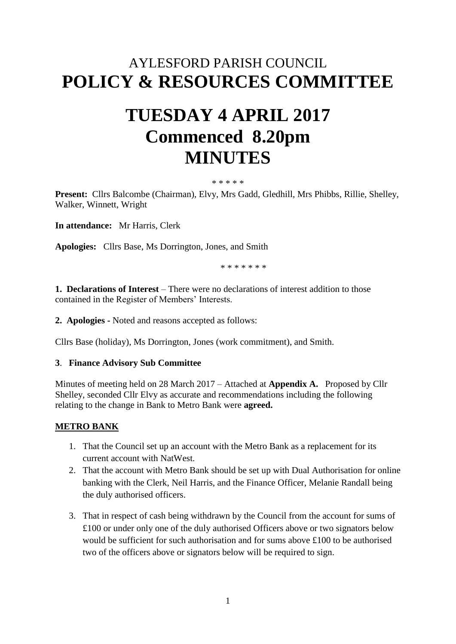# AYLESFORD PARISH COUNCIL **POLICY & RESOURCES COMMITTEE**

# **TUESDAY 4 APRIL 2017 Commenced 8.20pm MINUTES**

#### \* \* \* \* \*

**Present:** Cllrs Balcombe (Chairman), Elvy, Mrs Gadd, Gledhill, Mrs Phibbs, Rillie, Shelley, Walker, Winnett, Wright

**In attendance:** Mr Harris, Clerk

**Apologies:** Cllrs Base, Ms Dorrington, Jones, and Smith

\* \* \* \* \* \* \*

**1. Declarations of Interest** – There were no declarations of interest addition to those contained in the Register of Members' Interests.

**2. Apologies -** Noted and reasons accepted as follows:

Cllrs Base (holiday), Ms Dorrington, Jones (work commitment), and Smith.

#### **3**. **Finance Advisory Sub Committee**

Minutes of meeting held on 28 March 2017 – Attached at **Appendix A.** Proposed by Cllr Shelley, seconded Cllr Elvy as accurate and recommendations including the following relating to the change in Bank to Metro Bank were **agreed.**

# **METRO BANK**

- 1. That the Council set up an account with the Metro Bank as a replacement for its current account with NatWest.
- 2. That the account with Metro Bank should be set up with Dual Authorisation for online banking with the Clerk, Neil Harris, and the Finance Officer, Melanie Randall being the duly authorised officers.
- 3. That in respect of cash being withdrawn by the Council from the account for sums of £100 or under only one of the duly authorised Officers above or two signators below would be sufficient for such authorisation and for sums above £100 to be authorised two of the officers above or signators below will be required to sign.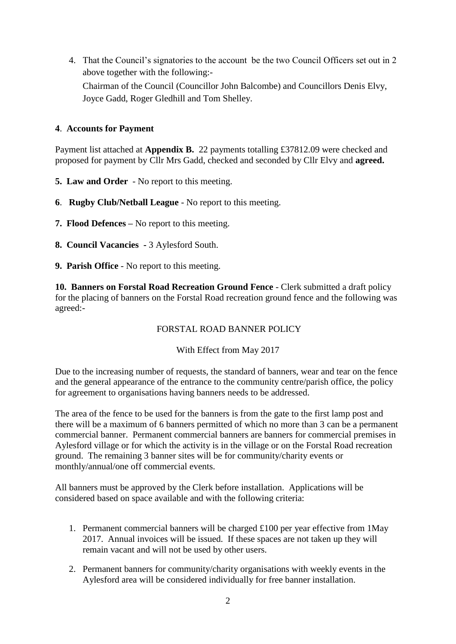4. That the Council's signatories to the account be the two Council Officers set out in 2 above together with the following:- Chairman of the Council (Councillor John Balcombe) and Councillors Denis Elvy, Joyce Gadd, Roger Gledhill and Tom Shelley.

# **4**. **Accounts for Payment**

Payment list attached at **Appendix B.** 22 payments totalling £37812.09 were checked and proposed for payment by Cllr Mrs Gadd, checked and seconded by Cllr Elvy and **agreed.**

- **5. Law and Order** No report to this meeting.
- **6**. **Rugby Club/Netball League** No report to this meeting.
- **7. Flood Defences –** No report to this meeting.
- **8. Council Vacancies -** 3 Aylesford South.
- **9. Parish Office** No report to this meeting.

**10. Banners on Forstal Road Recreation Ground Fence** - Clerk submitted a draft policy for the placing of banners on the Forstal Road recreation ground fence and the following was agreed:-

#### FORSTAL ROAD BANNER POLICY

#### With Effect from May 2017

Due to the increasing number of requests, the standard of banners, wear and tear on the fence and the general appearance of the entrance to the community centre/parish office, the policy for agreement to organisations having banners needs to be addressed.

The area of the fence to be used for the banners is from the gate to the first lamp post and there will be a maximum of 6 banners permitted of which no more than 3 can be a permanent commercial banner. Permanent commercial banners are banners for commercial premises in Aylesford village or for which the activity is in the village or on the Forstal Road recreation ground. The remaining 3 banner sites will be for community/charity events or monthly/annual/one off commercial events.

All banners must be approved by the Clerk before installation. Applications will be considered based on space available and with the following criteria:

- 1. Permanent commercial banners will be charged  $\pounds 100$  per year effective from 1May 2017. Annual invoices will be issued. If these spaces are not taken up they will remain vacant and will not be used by other users.
- 2. Permanent banners for community/charity organisations with weekly events in the Aylesford area will be considered individually for free banner installation.